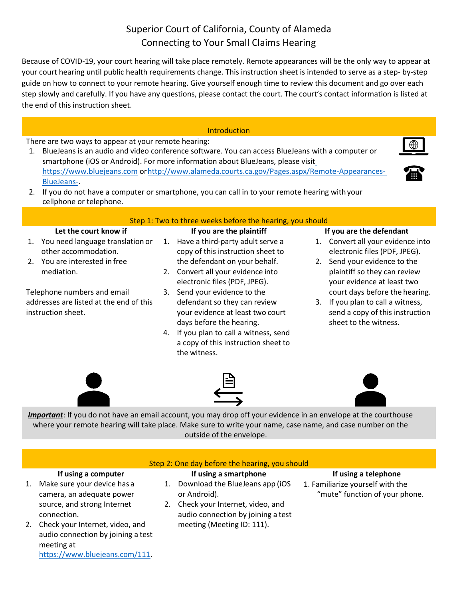# Superior Court of California, County of Alameda Connecting to Your Small Claims Hearing

Because of COVID-19, your court hearing will take place remotely. Remote appearances will be the only way to appear at your court hearing until public health requirements change. This instruction sheet is intended to serve as a step- by-step guide on how to connect to your remote hearing. Give yourself enough time to review this document and go over each step slowly and carefully. If you have any questions, please contact the court. The court's contact information is listed at the end of this instruction sheet.

## **Introduction**

There are two ways to appear at your remote hearing:

- 1. BlueJeans is an audio and video conference software. You can access BlueJeans with a computer or smartphone (iOS or Android). For more information about BlueJeans, please visit [https://www.bluejeans.com](https://www.bluejeans.com/) o[rhttp://www.alameda.courts.ca.gov/Pages.aspx/Remote-Appearances-](http://www.alameda.courts.ca.gov/Pages.aspx/Remote-Appearances-BlueJeans-)[BlueJeans-.](http://www.alameda.courts.ca.gov/Pages.aspx/Remote-Appearances-BlueJeans-)
- 



2. If you do not have a computer or smartphone, you can call in to your remote hearing with your cellphone or telephone.

# Step 1: Two to three weeks before the hearing, you should

## **Let the court know if**

- 1. You need language translation or other accommodation.
- 2. You are interested in free mediation.

Telephone numbers and email addresses are listed at the end of this instruction sheet.

- **If you are the plaintiff**
- 1. Have a third-party adult serve a copy of this instruction sheet to the defendant on your behalf.
- 2. Convert all your evidence into electronic files (PDF, JPEG).
- 3. Send your evidence to the defendant so they can review your evidence at least two court days before the hearing.
- 4. If you plan to call a witness, send a copy of this instruction sheet to the witness.

## **If you are the defendant**

- 1. Convert all your evidence into electronic files (PDF, JPEG).
- 2. Send your evidence to the plaintiff so they can review your evidence at least two court days before the hearing.
- 3. If you plan to call a witness, send a copy of this instruction sheet to the witness.



*Important*: If you do not have an email account, you may drop off your evidence in an envelope at the courthouse where your remote hearing will take place. Make sure to write your name, case name, and case number on the outside of the envelope.





# **If using a smartphone**

- **If using a computer** 1. Make sure your device has a camera, an adequate power source, and strong Internet connection.
- 2. Check your Internet, video, and audio connection by joining a test meeting at [https://www.bluejeans.com/111.](https://www.bluejeans.com/111)
- 1. Download the BlueJeans app (iOS or Android).
- 2. Check your Internet, video, and audio connection by joining a test meeting (Meeting ID: 111).

# **If using a telephone** 1. Familiarize yourself with the "mute" function of your phone.